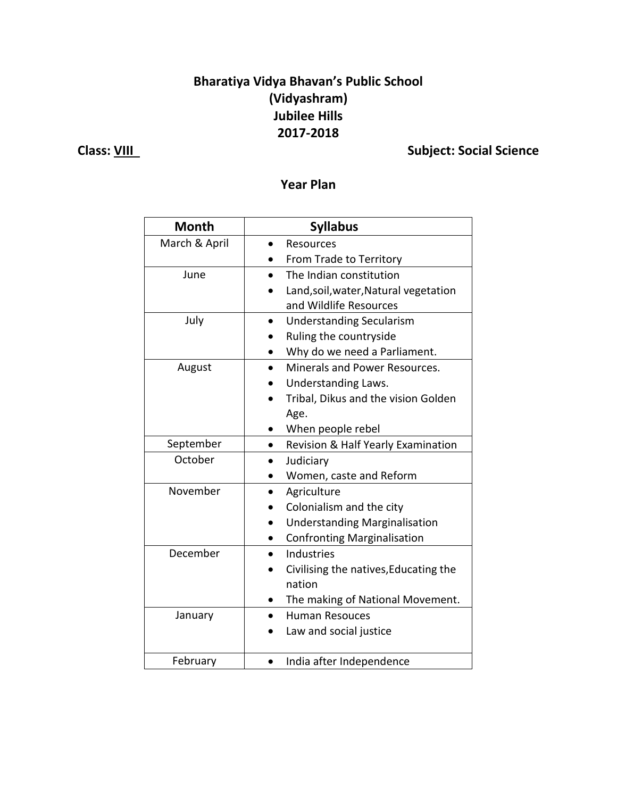## **Bharatiya Vidya Bhavan's Public School (Vidyashram) Jubilee Hills 2017-2018**

## **Class:** <u>VIII</u> **Class:**  $\frac{V}{V}$

### **Year Plan**

| <b>Month</b>  | <b>Syllabus</b>                       |
|---------------|---------------------------------------|
| March & April | <b>Resources</b>                      |
|               | From Trade to Territory               |
| June          | The Indian constitution               |
|               | Land, soil, water, Natural vegetation |
|               | and Wildlife Resources                |
| July          | <b>Understanding Secularism</b>       |
|               | Ruling the countryside                |
|               | Why do we need a Parliament.          |
| August        | Minerals and Power Resources.         |
|               | Understanding Laws.                   |
|               | Tribal, Dikus and the vision Golden   |
|               | Age.                                  |
|               | When people rebel                     |
| September     | Revision & Half Yearly Examination    |
| October       | Judiciary                             |
|               | Women, caste and Reform               |
| November      | Agriculture                           |
|               | Colonialism and the city              |
|               | <b>Understanding Marginalisation</b>  |
|               | <b>Confronting Marginalisation</b>    |
| December      | <b>Industries</b>                     |
|               | Civilising the natives, Educating the |
|               | nation                                |
|               | The making of National Movement.      |
| January       | <b>Human Resouces</b>                 |
|               | Law and social justice                |
|               |                                       |
| February      | India after Independence              |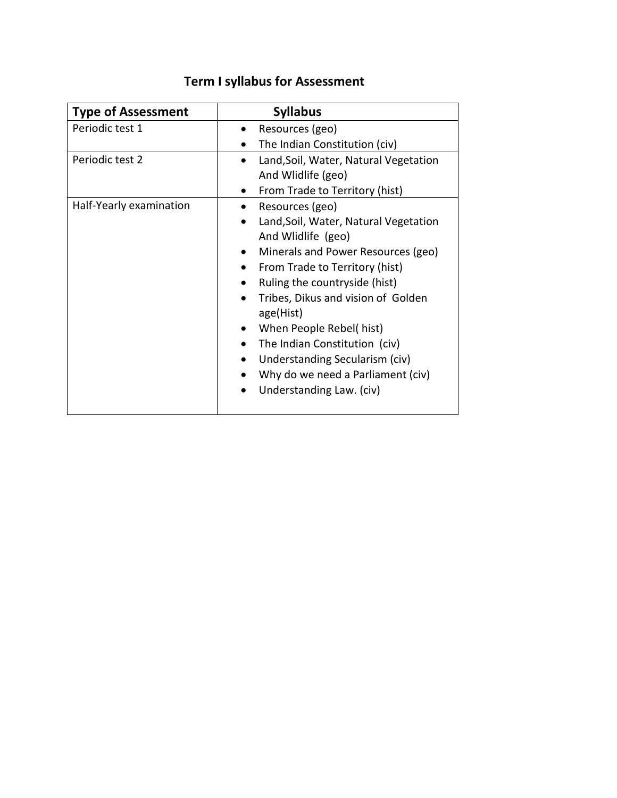| <b>Type of Assessment</b> | <b>Syllabus</b>                                 |
|---------------------------|-------------------------------------------------|
| Periodic test 1           | Resources (geo)                                 |
|                           | The Indian Constitution (civ)                   |
| Periodic test 2           | Land, Soil, Water, Natural Vegetation           |
|                           | And Wlidlife (geo)                              |
|                           | From Trade to Territory (hist)                  |
| Half-Yearly examination   | Resources (geo)                                 |
|                           | Land, Soil, Water, Natural Vegetation           |
|                           | And Wlidlife (geo)                              |
|                           | Minerals and Power Resources (geo)              |
|                           | From Trade to Territory (hist)                  |
|                           | Ruling the countryside (hist)                   |
|                           | Tribes, Dikus and vision of Golden<br>age(Hist) |
|                           | When People Rebel(hist)                         |
|                           | The Indian Constitution (civ)                   |
|                           | Understanding Secularism (civ)                  |
|                           | Why do we need a Parliament (civ)               |
|                           | Understanding Law. (civ)                        |

# **Term I syllabus for Assessment**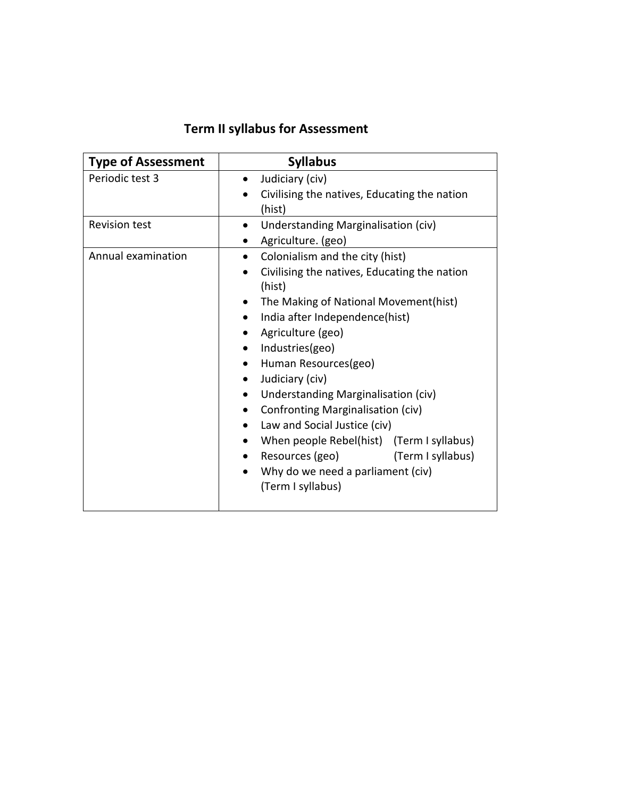# **Term II syllabus for Assessment**

| <b>Type of Assessment</b> | <b>Syllabus</b>                                                                                                                                                                                                                                                                                                                                                                                                                                                                                                                                                                                  |
|---------------------------|--------------------------------------------------------------------------------------------------------------------------------------------------------------------------------------------------------------------------------------------------------------------------------------------------------------------------------------------------------------------------------------------------------------------------------------------------------------------------------------------------------------------------------------------------------------------------------------------------|
| Periodic test 3           | Judiciary (civ)<br>Civilising the natives, Educating the nation<br>(hist)                                                                                                                                                                                                                                                                                                                                                                                                                                                                                                                        |
| <b>Revision test</b>      | Understanding Marginalisation (civ)<br>$\bullet$<br>Agriculture. (geo)                                                                                                                                                                                                                                                                                                                                                                                                                                                                                                                           |
| Annual examination        | Colonialism and the city (hist)<br>$\bullet$<br>Civilising the natives, Educating the nation<br>(hist)<br>The Making of National Movement(hist)<br>$\bullet$<br>India after Independence(hist)<br>$\bullet$<br>Agriculture (geo)<br>Industries(geo)<br>Human Resources(geo)<br>$\bullet$<br>Judiciary (civ)<br>$\bullet$<br>Understanding Marginalisation (civ)<br>$\bullet$<br>Confronting Marginalisation (civ)<br>Law and Social Justice (civ)<br>When people Rebel(hist) (Term I syllabus)<br>Resources (geo)<br>(Term I syllabus)<br>Why do we need a parliament (civ)<br>(Term I syllabus) |